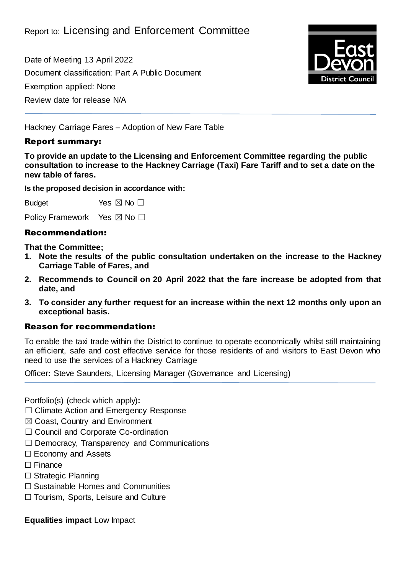Date of Meeting 13 April 2022 Document classification: Part A Public Document Exemption applied: None Review date for release N/A



Hackney Carriage Fares – Adoption of New Fare Table

#### Report summary:

**To provide an update to the Licensing and Enforcement Committee regarding the public consultation to increase to the Hackney Carriage (Taxi) Fare Tariff and to set a date on the new table of fares.**

**Is the proposed decision in accordance with:**

Budget Yes  $\boxtimes$  No  $\square$ 

Policy Framework Yes ⊠ No □

## Recommendation:

**That the Committee;**

- **1. Note the results of the public consultation undertaken on the increase to the Hackney Carriage Table of Fares, and**
- **2. Recommends to Council on 20 April 2022 that the fare increase be adopted from that date, and**
- **3. To consider any further request for an increase within the next 12 months only upon an exceptional basis.**

#### Reason for recommendation:

To enable the taxi trade within the District to continue to operate economically whilst still maintaining an efficient, safe and cost effective service for those residents of and visitors to East Devon who need to use the services of a Hackney Carriage

Officer**:** Steve Saunders, Licensing Manager (Governance and Licensing)

Portfolio(s) (check which apply)**:**

- ☐ Climate Action and Emergency Response
- ☒ Coast, Country and Environment
- □ Council and Corporate Co-ordination
- $\Box$  Democracy, Transparency and Communications
- ☐ Economy and Assets
- ☐ Finance
- ☐ Strategic Planning
- ☐ Sustainable Homes and Communities
- ☐ Tourism, Sports, Leisure and Culture

**Equalities impact** Low Impact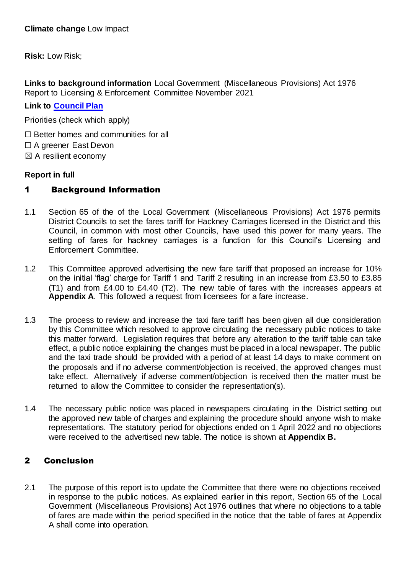**Risk:** Low Risk;

**Links to background information** Local Government (Miscellaneous Provisions) Act 1976 Report to Licensing & Enforcement Committee November 2021

**Link to [Council Plan](https://eastdevon.gov.uk/councilplan/)**

Priorities (check which apply)

- ☐ Better homes and communities for all
- ☐ A greener East Devon
- $\boxtimes$  A resilient economy

#### **Report in full**

## 1 Background Information

- 1.1 Section 65 of the of the Local Government (Miscellaneous Provisions) Act 1976 permits District Councils to set the fares tariff for Hackney Carriages licensed in the District and this Council, in common with most other Councils, have used this power for many years. The setting of fares for hackney carriages is a function for this Council's Licensing and Enforcement Committee.
- 1.2 This Committee approved advertising the new fare tariff that proposed an increase for 10% on the initial 'flag' charge for Tariff 1 and Tariff 2 resulting in an increase from £3.50 to £3.85 (T1) and from £4.00 to £4.40 (T2). The new table of fares with the increases appears at **Appendix A**. This followed a request from licensees for a fare increase.
- 1.3 The process to review and increase the taxi fare tariff has been given all due consideration by this Committee which resolved to approve circulating the necessary public notices to take this matter forward. Legislation requires that before any alteration to the tariff table can take effect, a public notice explaining the changes must be placed in a local newspaper. The public and the taxi trade should be provided with a period of at least 14 days to make comment on the proposals and if no adverse comment/objection is received, the approved changes must take effect. Alternatively if adverse comment/objection is received then the matter must be returned to allow the Committee to consider the representation(s).
- 1.4 The necessary public notice was placed in newspapers circulating in the District setting out the approved new table of charges and explaining the procedure should anyone wish to make representations. The statutory period for objections ended on 1 April 2022 and no objections were received to the advertised new table. The notice is shown at **Appendix B.**

# 2 Conclusion

2.1 The purpose of this report is to update the Committee that there were no objections received in response to the public notices. As explained earlier in this report, Section 65 of the Local Government (Miscellaneous Provisions) Act 1976 outlines that where no objections to a table of fares are made within the period specified in the notice that the table of fares at Appendix A shall come into operation.